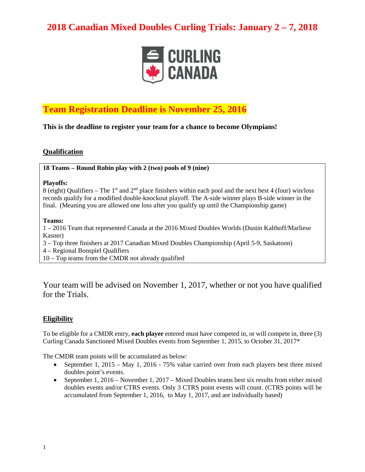

## **Team Registration Deadline is November 25, 2016**

**This is the deadline to register your team for a chance to become Olympians!**

#### **Qualification**

**18 Teams – Round Robin play with 2 (two) pools of 9 (nine)**

#### **Playoffs:**

8 (eight) Qualifiers – The 1<sup>st</sup> and  $2<sup>nd</sup>$  place finishers within each pool and the next best 4 (four) win/loss records qualify for a modified double-knockout playoff. The A-side winner plays B-side winner in the final. (Meaning you are allowed one loss after you qualify up until the Championship game)

#### **Teams:**

1 – 2016 Team that represented Canada at the 2016 Mixed Doubles Worlds (Dustin Kalthoff/Marliese Kasner)

3 – Top three finishers at 2017 Canadian Mixed Doubles Championship (April 5-9, Saskatoon)

- 4 Regional Bonspiel Qualifiers
- 10 Top teams from the CMDR not already qualified

Your team will be advised on November 1, 2017, whether or not you have qualified for the Trials.

### **Eligibility**

To be eligible for a CMDR entry, **each player** entered must have competed in, or will compete in, three (3) Curling Canada Sanctioned Mixed Doubles events from September 1, 2015, to October 31, 2017\*

The CMDR team points will be accumulated as below:

- September 1, 2015 May 1, 2016 75% value carried over from each players best three mixed doubles point's events.
- September 1, 2016 November 1, 2017 Mixed Doubles teams best six results from either mixed doubles events and/or CTRS events. Only 3 CTRS point events will count. (CTRS points will be accumulated from September 1, 2016, to May 1, 2017, and are individually based)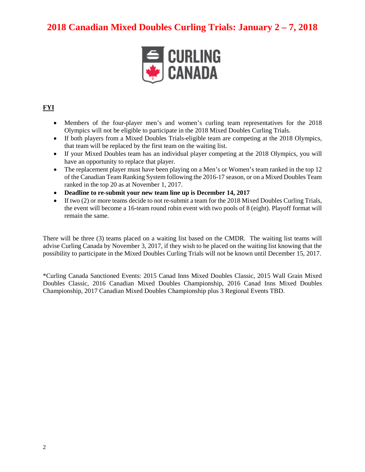

### **FYI**

- Members of the four-player men's and women's curling team representatives for the 2018 Olympics will not be eligible to participate in the 2018 Mixed Doubles Curling Trials.
- If both players from a Mixed Doubles Trials-eligible team are competing at the 2018 Olympics, that team will be replaced by the first team on the waiting list.
- If your Mixed Doubles team has an individual player competing at the 2018 Olympics, you will have an opportunity to replace that player.
- The replacement player must have been playing on a Men's or Women's team ranked in the top 12 of the Canadian Team Ranking System following the 2016-17 season, or on a Mixed Doubles Team ranked in the top 20 as at November 1, 2017.
- **Deadline to re-submit your new team line up is December 14, 2017**
- If two (2) or more teams decide to not re-submit a team for the 2018 Mixed Doubles Curling Trials, the event will become a 16-team round robin event with two pools of 8 (eight). Playoff format will remain the same.

There will be three (3) teams placed on a waiting list based on the CMDR. The waiting list teams will advise Curling Canada by November 3, 2017, if they wish to be placed on the waiting list knowing that the possibility to participate in the Mixed Doubles Curling Trials will not be known until December 15, 2017.

\*Curling Canada Sanctioned Events: 2015 Canad Inns Mixed Doubles Classic, 2015 Wall Grain Mixed Doubles Classic, 2016 Canadian Mixed Doubles Championship, 2016 Canad Inns Mixed Doubles Championship, 2017 Canadian Mixed Doubles Championship plus 3 Regional Events TBD.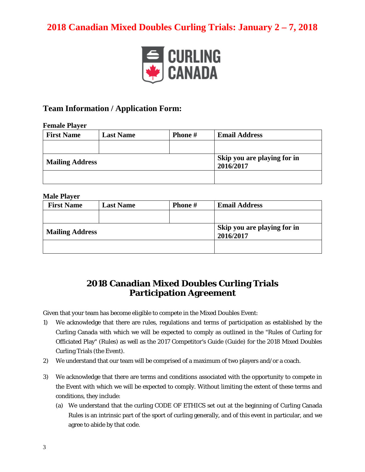

### **Team Information / Application Form:**

#### **Female Player**

| <b>First Name</b>      | <b>Last Name</b> | <b>Phone</b> # | <b>Email Address</b>                     |
|------------------------|------------------|----------------|------------------------------------------|
|                        |                  |                |                                          |
| <b>Mailing Address</b> |                  |                | Skip you are playing for in<br>2016/2017 |
|                        |                  |                |                                          |

#### **Male Player**

| <b>First Name</b>      | <b>Last Name</b> | <b>Phone</b> # | <b>Email Address</b>                     |
|------------------------|------------------|----------------|------------------------------------------|
|                        |                  |                |                                          |
| <b>Mailing Address</b> |                  |                | Skip you are playing for in<br>2016/2017 |
|                        |                  |                |                                          |

## **2018 Canadian Mixed Doubles Curling Trials Participation Agreement**

Given that your team has become eligible to compete in the Mixed Doubles Event:

- 1) We acknowledge that there are rules, regulations and terms of participation as established by the Curling Canada with which we will be expected to comply as outlined in the "Rules of Curling for Officiated Play" (Rules) as well as the 2017 Competitor's Guide (Guide) for the 2018 Mixed Doubles Curling Trials (the Event).
- 2) We understand that our team will be comprised of a maximum of two players and/or a coach.
- 3) We acknowledge that there are terms and conditions associated with the opportunity to compete in the Event with which we will be expected to comply. Without limiting the extent of these terms and conditions, they include:
	- (a) We understand that the curling CODE OF ETHICS set out at the beginning of Curling Canada Rules is an intrinsic part of the sport of curling generally, and of this event in particular, and we agree to abide by that code.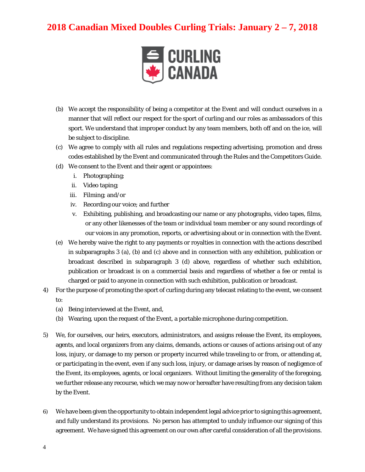

- (b) We accept the responsibility of being a competitor at the Event and will conduct ourselves in a manner that will reflect our respect for the sport of curling and our roles as ambassadors of this sport. We understand that improper conduct by any team members, both off and on the ice, will be subject to discipline.
- (c) We agree to comply with all rules and regulations respecting advertising, promotion and dress codes established by the Event and communicated through the Rules and the Competitors Guide.
- (d) We consent to the Event and their agent or appointees:
	- i. Photographing;
	- ii. Video taping;
	- iii. Filming; and/or
	- iv. Recording our voice; and further
	- v. Exhibiting, publishing, and broadcasting our name or any photographs, video tapes, films, or any other likenesses of the team or individual team member or any sound recordings of our voices in any promotion, reports, or advertising about or in connection with the Event.
- (e) We hereby waive the right to any payments or royalties in connection with the actions described in subparagraphs 3 (a), (b) and (c) above and in connection with any exhibition, publication or broadcast described in subparagraph 3 (d) above, regardless of whether such exhibition, publication or broadcast is on a commercial basis and regardless of whether a fee or rental is charged or paid to anyone in connection with such exhibition, publication or broadcast.
- 4) For the purpose of promoting the sport of curling during any telecast relating to the event, we consent to:
	- (a) Being interviewed at the Event, and,
	- (b) Wearing, upon the request of the Event, a portable microphone during competition.
- 5) We, for ourselves, our heirs, executors, administrators, and assigns release the Event, its employees, agents, and local organizers from any claims, demands, actions or causes of actions arising out of any loss, injury, or damage to my person or property incurred while traveling to or from, or attending at, or participating in the event, even if any such loss, injury, or damage arises by reason of negligence of the Event, its employees, agents, or local organizers. Without limiting the generality of the foregoing, we further release any recourse, which we may now or hereafter have resulting from any decision taken by the Event.
- 6) We have been given the opportunity to obtain independent legal advice prior to signing this agreement, and fully understand its provisions. No person has attempted to unduly influence our signing of this agreement. We have signed this agreement on our own after careful consideration of all the provisions.